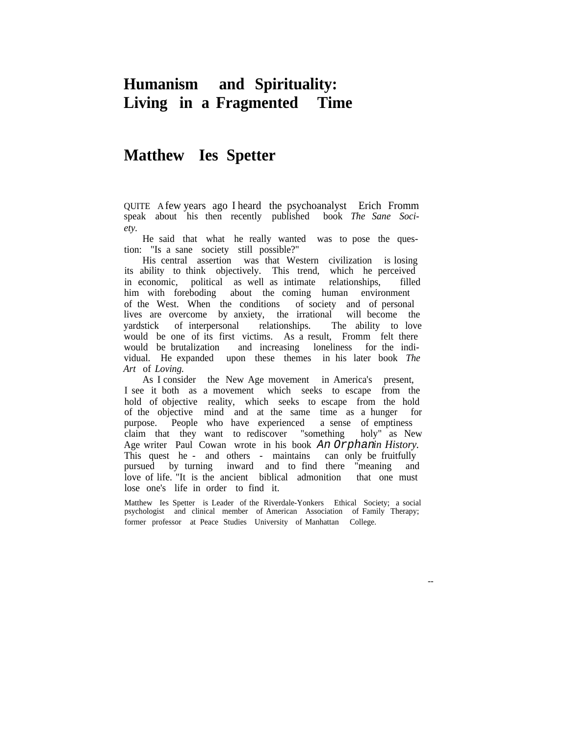# **Humanism and Spirituality: Living in a Fragmented Time**

# **Matthew Ies Spetter**

QUITE A few years ago I heard the psychoanalyst Erich Fromm speak about his then recently published book *The Sane Society.*

He said that what he really wanted was to pose the question: "Is a sane society still possible?"

His central assertion was that Western civilization is losing its ability to think objectively. This trend, which he perceived in economic, political as well as intimate relationships, filled him with foreboding about the coming human environment of the West. When the conditions of society and of personal lives are overcome by anxiety, the irrational will become the yardstick of interpersonal relationships. The ability to love would be one of its first victims. As a result, Fromm felt there would be brutalization and increasing loneliness for the individual. He expanded upon these themes in his later book *The Art* of *Loving.*

As I consider the New Age movement in America's present, I see it both as a movement which seeks to escape from the hold of objective reality, which seeks to escape from the hold of the objective mind and at the same time as a hunger for purpose. People who have experienced a sense of emptiness claim that they want to rediscover "something holy" as New Age writer Paul Cowan wrote in his book An Orphan*in History.* This quest he - and others - maintains can only be fruitfully pursued by turning inward and to find there "meaning and love of life. "It is the ancient biblical admonition that one must lose one's life in order to find it.

Matthew Ies Spetter is Leader of the Riverdale-Yonkers Ethical Society; a social psychologist and clinical member of American Association of Family Therapy; former professor at Peace Studies University of Manhattan College.

--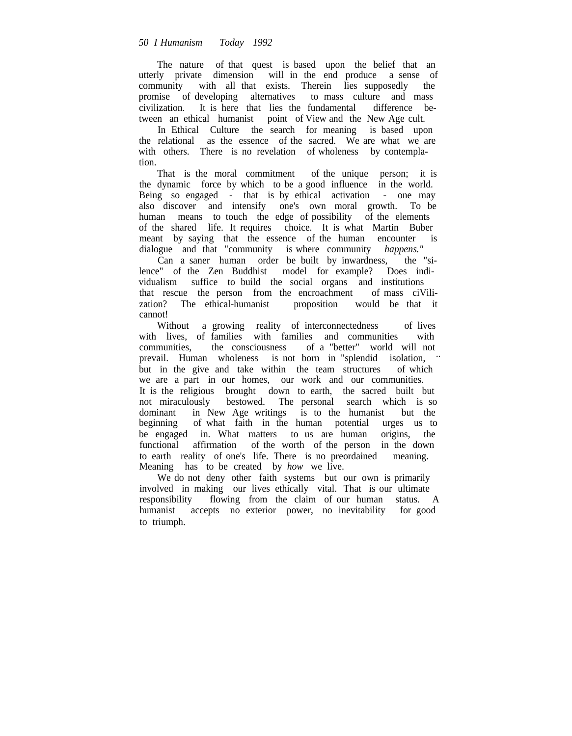The nature of that quest is based upon the belief that an utterly private dimension will in the end produce a sense of community with all that exists. Therein lies supposedly the promise of developing alternatives to mass culture and mass civilization. It is here that lies the fundamental difference between an ethical humanist point of View and the New Age cult.

In Ethical Culture the search for meaning is based upon the relational as the essence of the sacred. We are what we are with others. There is no revelation of wholeness by contemplation.

That is the moral commitment of the unique person; it is the dynamic force by which to be a good influence in the world. Being so engaged - that is by ethical activation - one may also discover and intensify one's own moral growth. To be human means to touch the edge of possibility of the elements of the shared life. It requires choice. It is what Martin Buber meant by saying that the essence of the human encounter is dialogue and that "community is where community *happens."*

Can a saner human order be built by inwardness, the "silence" of the Zen Buddhist model for example? Does individualism suffice to build the social organs and institutions that rescue the person from the encroachment of mass ciVilization? The ethical-humanist proposition would be that it proposition would be that it cannot!

Without a growing reality of interconnectedness of lives with lives, of families with families and communities with communities, the consciousness of a "better" world will not prevail. Human wholeness is not born in "splendid isolation, ... but in the give and take within the team structures of which we are a part in our homes, our work and our communities. It is the religious brought down to earth, the sacred built but not miraculously bestowed. The personal search which is so dominant in New Age writings is to the humanist but the beginning of what faith in the human potential urges us to be engaged in. What matters to us are human origins, the functional affirmation of the worth of the person in the down to earth reality of one's life. There is no preordained meaning. Meaning has to be created by *how* we live.

We do not deny other faith systems but our own is primarily involved in making our lives ethically vital. That is our ultimate responsibility flowing from the claim of our human status. A humanist accepts no exterior power, no inevitability for good to triumph.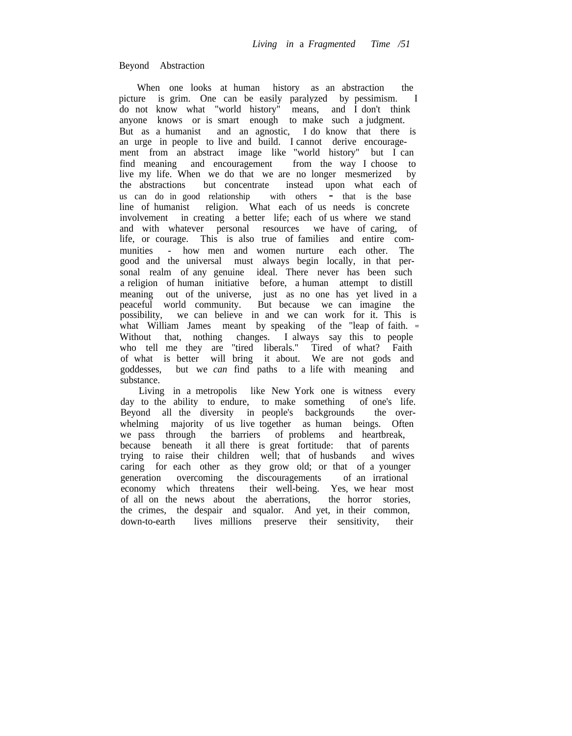#### Beyond Abstraction

When one looks at human history as an abstraction the picture is grim. One can be easily paralyzed by pessimism. I do not know what "world history" means, and I don't think anyone knows or is smart enough to make such a judgment. But as a humanist and an agnostic, I do know that there is an urge in people to live and build. I cannot derive encouragement from an abstract image like "world history" but I can find meaning and encouragement from the way I choose to live my life. When we do that we are no longer mesmerized by the abstractions but concentrate instead upon what each of us can do in good relationship with others  $-\frac{1}{x}$  that is the base line of humanist religion. What each of us needs is concrete involvement in creating a better life; each of us where we stand and with whatever personal resources we have of caring, of life, or courage. This is also true of families and entire communities - how men and women nurture each other. The good and the universal must always begin locally, in that personal realm of any genuine ideal. There never has been such a religion of human initiative before, a human attempt to distill meaning out of the universe, just as no one has yet lived in a peaceful world community. But because we can imagine the possibility, we can believe in and we can work for it. This is what William James meant by speaking of the "leap of faith. " Without that, nothing changes. I always say this to people who tell me they are "tired liberals." Tired of what? Faith of what is better will bring it about. We are not gods and goddesses, but we *can* find paths to a life with meaning and substance.

Living in a metropolis like New York one is witness every day to the ability to endure, to make something of one's life.<br>Beyond all the diversity in people's backgrounds the over-Beyond all the diversity in people's backgrounds whelming majority of us live together as human beings. Often we pass through the barriers of problems and heartbreak, because beneath it all there is great fortitude: that of parents trying to raise their children well; that of husbands and wives caring for each other as they grow old; or that of a younger generation overcoming the discouragements of an irrational economy which threatens their well-being. Yes, we hear most of all on the news about the aberrations, the horror stories, the crimes, the despair and squalor. And yet, in their common, down-to-earth lives millions preserve their sensitivity, their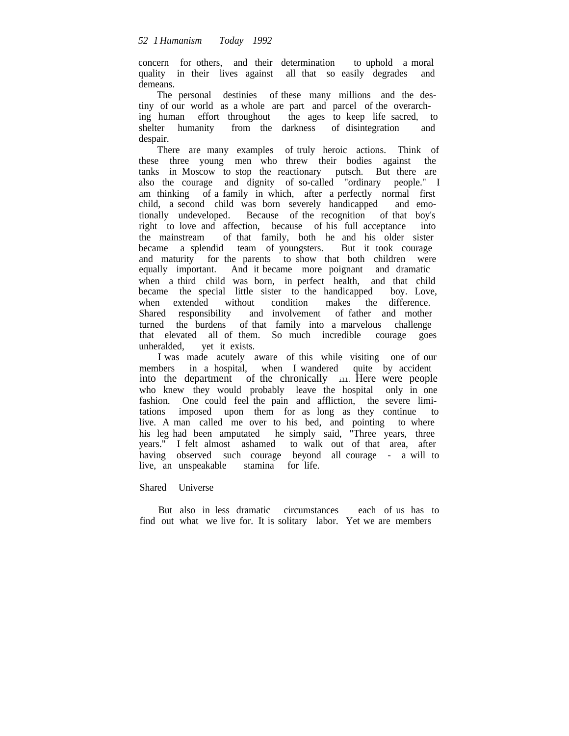concern for others, and their determination to uphold a moral quality in their lives against all that so easily degrades and demeans.

The personal destinies of these many millions and the destiny of our world as a whole are part and parcel of the overarching human effort throughout the ages to keep life sacred, to shelter humanity from the darkness of disintegration and despair.

There are many examples of truly heroic actions. Think of these three young men who threw their bodies against the tanks in Moscow to stop the reactionary putsch. But there are also the courage and dignity of so-called "ordinary people." I am thinking of a family in which, after a perfectly normal first child, a second child was born severely handicapped and emotionally undeveloped. Because of the recognition of that boy's right to love and affection, because of his full acceptance into the mainstream of that family, both he and his older sister became a splendid team of youngsters. But it took courage and maturity for the parents to show that both children were equally important. And it became more poignant and dramatic when a third child was born, in perfect health, and that child became the special little sister to the handicapped boy. Love, when extended without condition makes the difference. Shared responsibility and involvement of father and mother turned the burdens of that family into a marvelous challenge that elevated all of them. So much incredible courage goes unheralded, yet it exists.

I was made acutely aware of this while visiting one of our members in a hospital, when I wandered quite by accident into the department of the chronically  $\mathbf{u}_1$ . Here were people who knew they would probably leave the hospital only in one fashion. One could feel the pain and affliction, the severe limitations imposed upon them for as long as they continue to live. A man called me over to his bed, and pointing to where his leg had been amputated he simply said, "Three years, three years." I felt almost ashamed to walk out of that area, after having observed such courage beyond all courage - a will to live, an unspeakable stamina for life.

Shared Universe

But also in less dramatic circumstances each of us has to find out what we live for. It is solitary labor. Yet we are members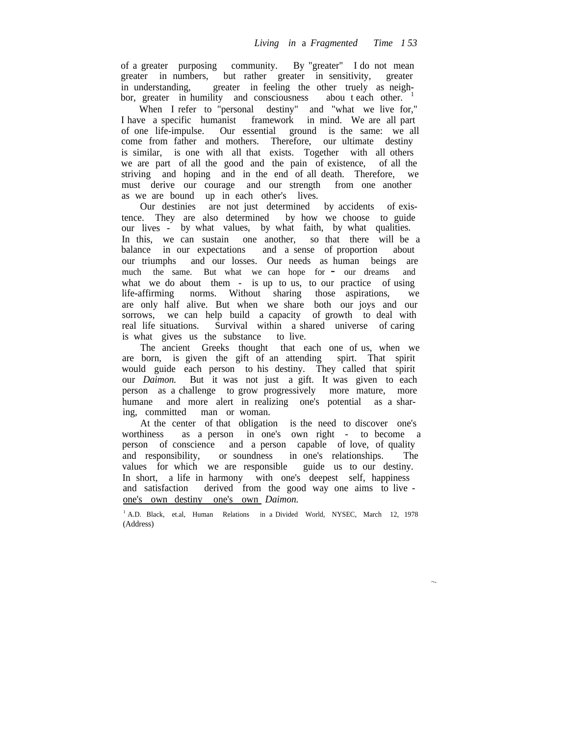of a greater purposing community. By "greater" I do not mean greater in numbers, but rather greater in sensitivity, greater in understanding, greater in feeling the other truely as neighbor, greater in humility and consciousness abou t each other.

When I refer to "personal destiny" and "what we live for," I have a specific humanist framework in mind. We are all part of one life-impulse. Our essential ground is the same: we all come from father and mothers. Therefore, our ultimate destiny is similar, is one with all that exists. Together with all others we are part of all the good and the pain of existence, of all the striving and hoping and in the end of all death. Therefore, we must derive our courage and our strength from one another as we are bound up in each other's lives.

Our destinies are not just determined by accidents of existence. They are also determined by how we choose to guide our lives - by what values, by what faith, by what qualities. In this, we can sustain one another, so that there will be a balance in our expectations and a sense of proportion about our triumphs and our losses. Our needs as human beings are much the same. But what we can hope for - our dreams and what we do about them - is up to us, to our practice of using life-affirming norms. Without sharing those aspirations, we are only half alive. But when we share both our joys and our sorrows, we can help build a capacity of growth to deal with real life situations. Survival within a shared universe of caring is what gives us the substance to live.

The ancient Greeks thought that each one of us, when we are born, is given the gift of an attending spirt. That spirit would guide each person to his destiny. They called that spirit our *Daimon.* But it was not just a gift. It was given to each person as a challenge to grow progressively more mature, more humane and more alert in realizing one's potential as a sharing, committed man or woman.

At the center of that obligation is the need to discover one's worthiness as a person in one's own right - to become a person of conscience and a person capable of love, of quality and responsibility, or soundness in one's relationships. The values for which we are responsible guide us to our destiny. In short, a life in harmony with one's deepest self, happiness and satisfaction derived from the good way one aims to live one's own destiny one's own *Daimon.*

<sup>1</sup> A.D. Black, et.al, Human Relations in a Divided World, NYSEC, March 12, 1978 (Address)

~-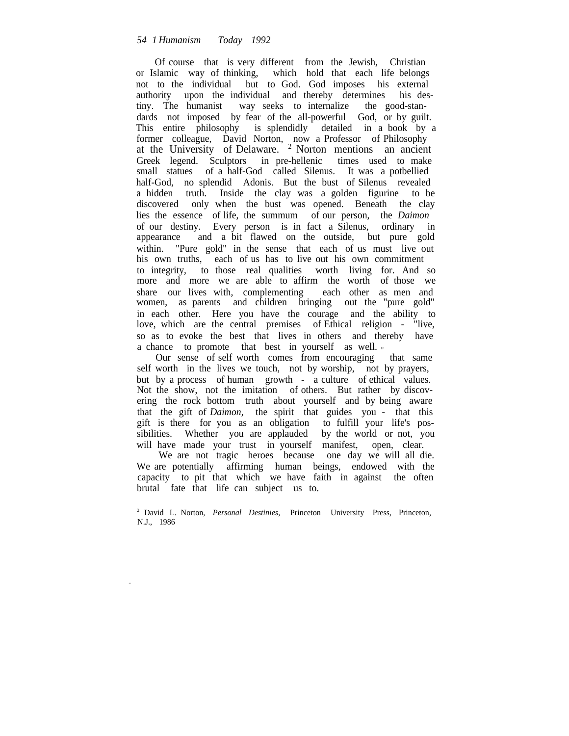Of course that is very different from the Jewish, Christian or Islamic way of thinking, which hold that each life belongs not to the individual but to God. God imposes his external authority upon the individual and thereby determines his destiny. The humanist way seeks to internalize the good-standards not imposed by fear of the all-powerful God, or by guilt. This entire philosophy is splendidly detailed in a book by a former colleague, David Norton, now a Professor of Philosophy at the University of Delaware. <sup>2</sup> Norton mentions an ancient Greek legend. Sculptors in pre-hellenic times used to make small statues of a half-God called Silenus. It was a potbellied half-God, no splendid Adonis. But the bust of Silenus revealed a hidden truth. Inside the clay was a golden figurine to be discovered only when the bust was opened. Beneath the clay lies the essence of life, the summum of our person, the *Daimon* of our destiny. Every person is in fact a Silenus, ordinary in appearance and a bit flawed on the outside, but pure gold within. "Pure gold" in the sense that each of us must live out his own truths, each of us has to live out his own commitment to integrity, to those real qualities worth living for. And so more and more we are able to affirm the worth of those we share our lives with, complementing each other as men and women, as parents and children bringing out the "pure gold" in each other. Here you have the courage and the ability to love, which are the central premises of Ethical religion - "live, so as to evoke the best that lives in others and thereby have a chance to promote that best in yourself as well. "

Our sense of self worth comes from encouraging that same self worth in the lives we touch, not by worship, not by prayers, but by a process of human growth - a culture of ethical values. Not the show, not the imitation of others. But rather by discovering the rock bottom truth about yourself and by being aware that the gift of *Daimon,* the spirit that guides you - that this gift is there for you as an obligation to fulfill your life's possibilities. Whether you are applauded by the world or not, you will have made your trust in yourself manifest, open, clear.

We are not tragic heroes because one day we will all die. We are potentially affirming human beings, endowed with the capacity to pit that which we have faith in against the often brutal fate that life can subject us to.

<sup>2</sup> David L. Norton, *Personal Destinies,* Princeton University Press, Princeton, N.J., 1986

-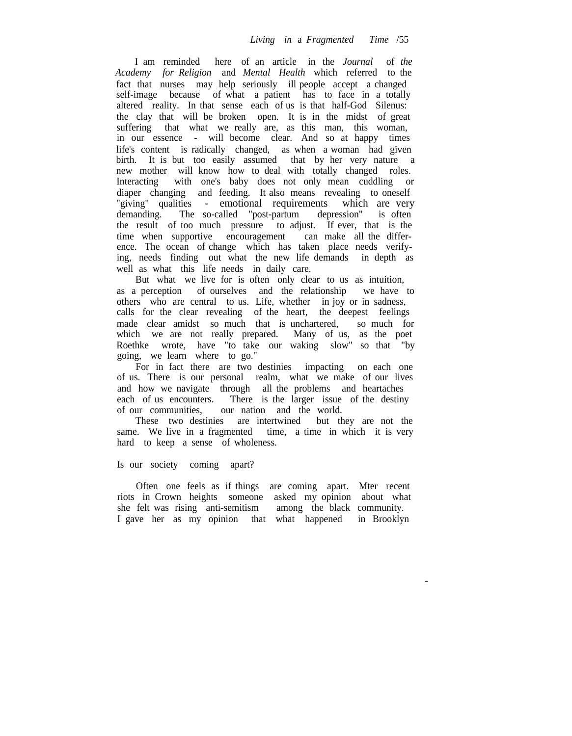I am reminded here of an article in the *Journal* of *the Academy for Religion* and *Mental Health* which referred to the fact that nurses may help seriously ill people accept a changed self-image because of what a patient has to face in a totally altered reality. In that sense each of us is that half-God Silenus: the clay that will be broken open. It is in the midst of great suffering that what we really are, as this man, this woman, in our essence - will become clear. And so at happy times life's content is radically changed, as when a woman had given birth. It is but too easily assumed that by her very nature a new mother will know how to deal with totally changed roles. Interacting with one's baby does not only mean cuddling or diaper changing and feeding. It also means revealing to oneself "giving" qualities - emotional requirements which are very demanding. The so-called "post-partum depression" is often the result of too much pressure to adjust. If ever, that is the time when supportive encouragement can make all the difference. The ocean of change which has taken place needs verifying, needs finding out what the new life demands in depth as well as what this life needs in daily care.

But what we live for is often only clear to us as intuition,<br>a perception of ourselves and the relationship we have to as a perception of ourselves and the relationship others who are central to us. Life, whether in joy or in sadness, calls for the clear revealing of the heart, the deepest feelings made clear amidst so much that is unchartered, so much for which we are not really prepared. Many of us, as the poet Roethke wrote, have "to take our waking slow" so that "by going, we learn where to go."

For in fact there are two destinies impacting on each one of us. There is our personal realm, what we make of our lives and how we navigate through all the problems and heartaches each of us encounters. There is the larger issue of the destiny of our communities, our nation and the world.

These two destinies are intertwined but they are not the same. We live in a fragmented time, a time in which it is very hard to keep a sense of wholeness.

#### Is our society coming apart?

Often one feels as if things are coming apart. Mter recent riots in Crown heights someone asked my opinion about what she felt was rising anti-semitism among the black community. I gave her as my opinion that what happened in Brooklyn

-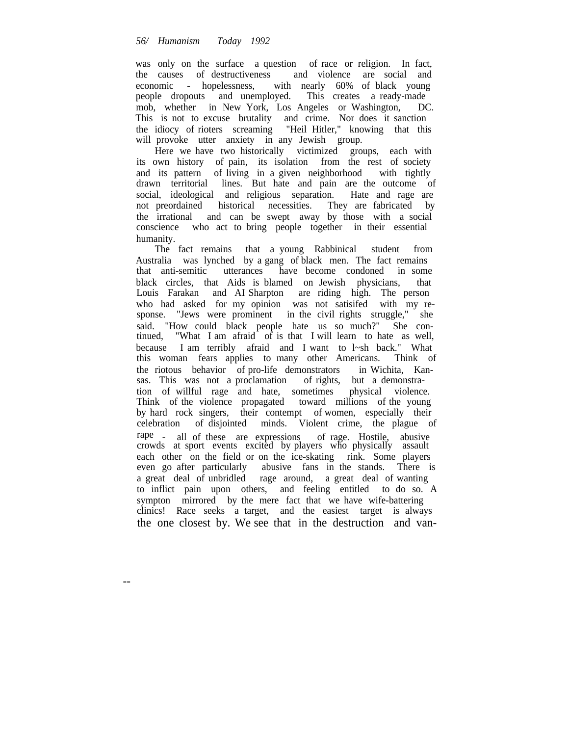was only on the surface a question of race or religion. In fact, the causes of destructiveness and violence are social and economic - hopelessness, with nearly 60% of black young people dropouts and unemployed. This creates a ready-made mob, whether in New York, Los Angeles or Washington, DC. This is not to excuse brutality and crime. Nor does it sanction the idiocy of rioters screaming "Heil Hitler," knowing that this will provoke utter anxiety in any Jewish group.

Here we have two historically victimized groups, each with its own history of pain, its isolation from the rest of society and its pattern of living in a given neighborhood with tightly drawn territorial lines. But hate and pain are the outcome of social, ideological and religious separation. Hate and rage are not preordained historical necessities. They are fabricated by the irrational and can be swept away by those with a social conscience who act to bring people together in their essential humanity.

The fact remains that a young Rabbinical student from Australia was lynched by a gang of black men. The fact remains that anti-semitic utterances have become condoned in some black circles, that Aids is blamed on Jewish physicians, that Louis Farakan and AI Sharpton are riding high. The person who had asked for my opinion was not satisifed with my response. "Jews were prominent in the civil rights struggle," she said. "How could black people hate us so much?" She continued, "What I am afraid of is that I will learn to hate as well, because I am terribly afraid and I want to l~sh back." What this woman fears applies to many other Americans. Think of the riotous behavior of pro-life demonstrators in Wichita, Kansas. This was not a proclamation of rights, but a demonstration of willful rage and hate, sometimes physical violence. Think of the violence propagated toward millions of the young by hard rock singers, their contempt of women, especially their celebration of disjointed minds. Violent crime, the plague of rape - all of these are expressions of rage. Hostile, abusive crowds at sport events excited by players who physically assault each other on the field or on the ice-skating rink. Some players even go after particularly abusive fans in the stands. There is a great deal of unbridled rage around, a great deal of wanting to inflict pain upon others, and feeling entitled to do so. A sympton mirrored by the mere fact that we have wife-battering clinics! Race seeks a target, and the easiest target is always the one closest by. We see that in the destruction and van-

--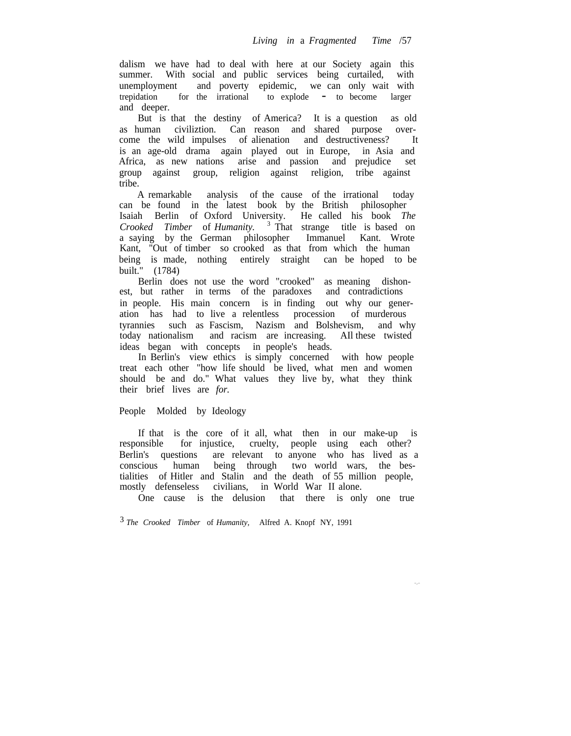dalism we have had to deal with here at our Society again this summer. With social and public services being curtailed, with unemployment and poverty epidemic, we can only wait with trepidation for the irrational to explode - to become larger and deeper.

But is that the destiny of America? It is a question as old as human civiliztion. Can reason and shared purpose overcome the wild impulses of alienation and destructiveness? It is an age-old drama again played out in Europe, in Asia and Africa, as new nations arise and passion and prejudice set group against group, religion against religion, tribe against tribe.

A remarkable analysis of the cause of the irrational today can be found in the latest book by the British philosopher Isaiah Berlin of Oxford University. He called his book *The Crooked Timber* of *Humanity.* <sup>3</sup> That strange title is based on a saying by the German philosopher Immanuel Kant. Wrote Kant, "Out of timber so crooked as that from which the human being is made, nothing entirely straight can be hoped to be built." (1784)

Berlin does not use the word "crooked" as meaning dishonest, but rather in terms of the paradoxes and contradictions in people. His main concern is in finding out why our generation has had to live a relentless procession of murderous tyrannies such as Fascism, Nazism and Bolshevism, and why today nationalism and racism are increasing. AIl these twisted ideas began with concepts in people's heads.

In Berlin's view ethics is simply concerned with how people treat each other "how life should be lived, what men and women should be and do." What values they live by, what they think their brief lives are *for.*

# People Molded by Ideology

If that is the core of it all, what then in our make-up is responsible for injustice, cruelty, people using each other? Berlin's questions are relevant to anyone who has lived as a conscious human being through two world wars, the bestialities of Hitler and Stalin and the death of 55 million people, mostly defenseless civilians, in World War II alone.

One cause is the delusion that there is only one true

3 *The Crooked Timber* of *Humanity,* Alfred A. Knopf NY, 1991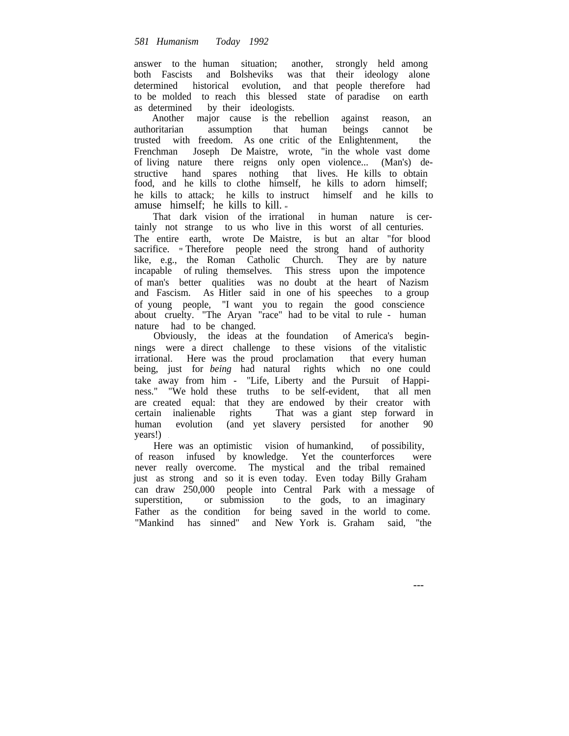answer to the human situation; another, strongly held among both Fascists and Bolsheviks was that their ideology alone determined historical evolution, and that people therefore had to be molded to reach this blessed state of paradise on earth as determined by their ideologists.

Another major cause is the rebellion against reason, an authoritarian assumption that human beings cannot be trusted with freedom. As one critic of the Enlightenment, the Frenchman Joseph De Maistre, wrote, "in the whole vast dome of living nature there reigns only open violence... (Man's) destructive hand spares nothing that lives. He kills to obtain food, and he kills to clothe himself, he kills to adorn himself; he kills to attack; he kills to instruct himself and he kills to amuse himself; he kills to kill. "

That dark vision of the irrational in human nature is certainly not strange to us who live in this worst of all centuries. The entire earth, wrote De Maistre, is but an altar "for blood sacrifice. " Therefore people need the strong hand of authority like, e.g., the Roman Catholic Church. They are by nature incapable of ruling themselves. This stress upon the impotence of man's better qualities was no doubt at the heart of Nazism and Fascism. As Hitler said in one of his speeches to a group of young people, "I want you to regain the good conscience about cruelty. "The Aryan "race" had to be vital to rule - human nature had to be changed.

Obviously, the ideas at the foundation of America's beginnings were a direct challenge to these visions of the vitalistic irrational. Here was the proud proclamation that every human being, just for *being* had natural rights which no one could take away from him - "Life, Liberty and the Pursuit of Happiness." "We hold these truths to be self-evident, that all men are created equal: that they are endowed by their creator with certain inalienable rights That was a giant step forward in human evolution (and yet slavery persisted for another 90 years!) .

Here was an optimistic vision of humankind, of possibility, of reason infused by knowledge. Yet the counterforces were never really overcome. The mystical and the tribal remained just as strong and so it is even today. Even today Billy Graham can draw 250,000 people into Central Park with a message of superstition, or submission to the gods, to an imaginary Father as the condition for being saved in the world to come. "Mankind has sinned" and New York is. Graham said, "the

---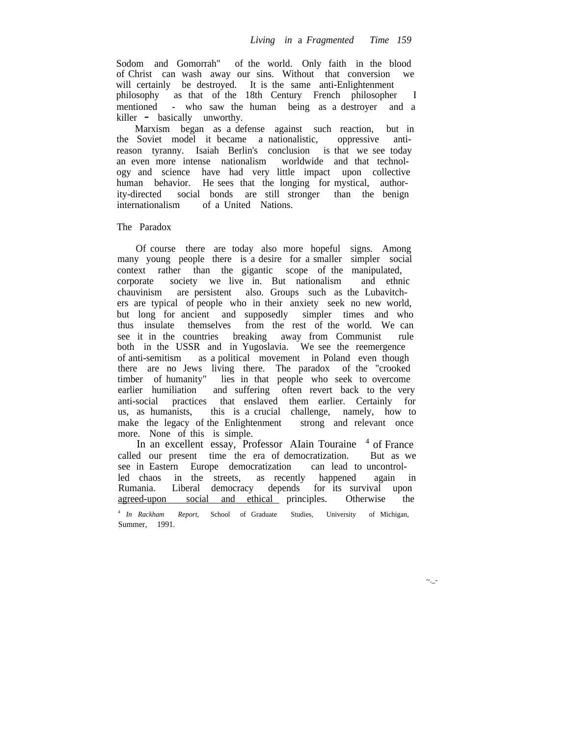Sodom and Gomorrah" of the world. Only faith in the blood of Christ can wash away our sins. Without that conversion we will certainly be destroyed. It is the same anti-Enlightenment philosophy as that of the 18th Century French philosopher I mentioned - who saw the human being as a destroyer and a killer - basically unworthy.

Marxism began as a defense against such reaction, but in the Soviet model it became a nationalistic, oppressive antireason tyranny. Isaiah Berlin's conclusion is that we see today an even more intense nationalism worldwide and that technology and science have had very little impact upon collective human behavior. He sees that the longing for mystical, authority-directed social bonds are still stronger than the benign internationalism of a United Nations.

### The Paradox

Of course there are today also more hopeful signs. Among many young people there is a desire for a smaller simpler social context rather than the gigantic scope of the manipulated, corporate society we live in. But nationalism and ethnic chauvinism are persistent also. Groups such as the Lubavitchers are typical of people who in their anxiety seek no new world, but long for ancient and supposedly simpler times and who thus insulate themselves from the rest of the world. We can see it in the countries breaking away from Communist rule both in the USSR and in Yugoslavia. We see the reemergence of anti-semitism as a political movement in Poland even though there are no Jews living there. The paradox of the "crooked timber of humanity" lies in that people who seek to overcome earlier humiliation and suffering often revert back to the very anti-social practices that enslaved them earlier. Certainly for us, as humanists, this is a crucial challenge, namely, how to make the legacy of the Enlightenment strong and relevant once more. None of this is simple.

In an excellent essay, Professor AIain Touraine <sup>4</sup> of France called our present time the era of democratization. But as we see in Eastern Europe democratization can lead to uncontrolled chaos in the streets, as recently happened again in Rumania. Liberal democracy depends for its survival upon agreed-upon social and ethical principles. Otherwise

*4 In Rackham Report,* School of Graduate Studies, University of Michigan, Summer, 1991.

 $\sim$ \_-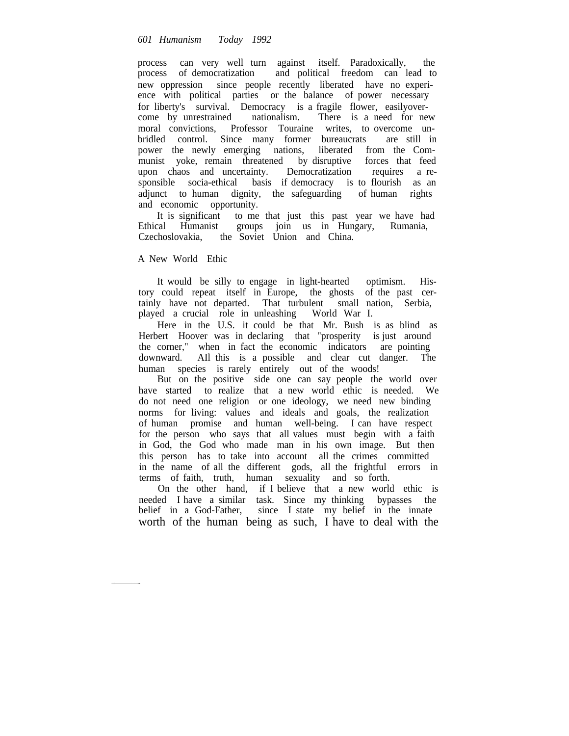process can very well turn against itself. Paradoxically, the process of democratization and political freedom can lead to new oppression since people recently liberated have no experience with political parties or the balance of power necessary for liberty's survival. Democracy is a fragile flower, easilyover-<br>come by unrestrained nationalism. There is a need for new nationalism. There is a need for new moral convictions, Professor Touraine writes, to overcome unbridled control. Since many former bureaucrats are still in power the newly emerging nations, liberated from the Communist yoke, remain threatened by disruptive forces that feed upon chaos and uncertainty. Democratization requires a responsible socia-ethical basis if democracy is to flourish as an adjunct to human dignity, the safeguarding of human rights and economic opportunity.

It is significant to me that just this past year we have had<br>Ethical Humanist groups join us in Hungary, Rumania, groups join us in Hungary, Rumania, Czechoslovakia, the Soviet Union and China.

# A New World Ethic

It would be silly to engage in light-hearted optimism. History could repeat itself in Europe, the ghosts of the past certainly have not departed. That turbulent small nation, Serbia, played a crucial role in unleashing World War I.

Here in the U.S. it could be that Mr. Bush is as blind as Herbert Hoover was in declaring that "prosperity is just around the corner," when in fact the economic indicators are pointing downward. AIl this is a possible and clear cut danger. The human species is rarely entirely out of the woods!

But on the positive side one can say people the world over have started to realize that a new world ethic is needed. We do not need one religion or one ideology, we need new binding norms for living: values and ideals and goals, the realization of human promise and human well-being. I can have respect for the person who says that all values must begin with a faith in God, the God who made man in his own image. But then this person has to take into account all the crimes committed in the name of all the different gods, all the frightful errors in terms of faith, truth, human sexuality and so forth.

On the other hand, if I believe that a new world ethic is needed I have a similar task. Since my thinking bypasses the belief in a God-Father, since I state my belief in the innate worth of the human being as such, I have to deal with the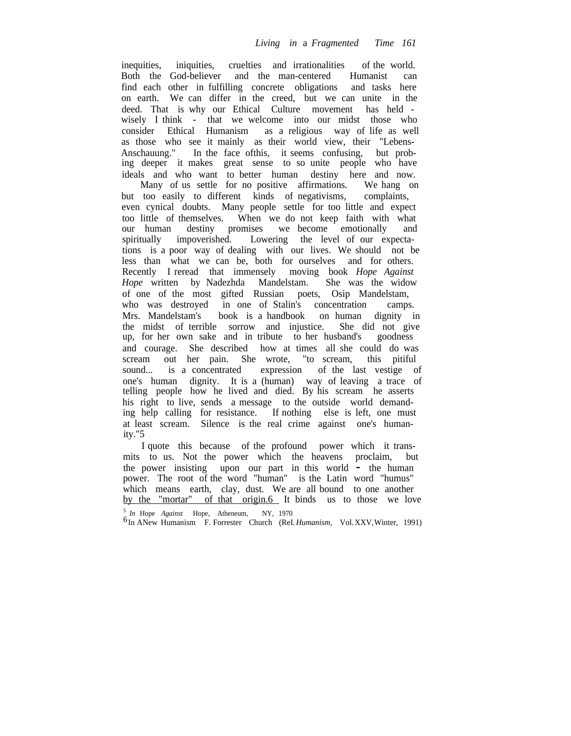inequities, iniquities, cruelties and irrationalities of the world. Both the God-believer and the man-centered Humanist can find each other in fulfilling concrete obligations and tasks here on earth. We can differ in the creed, but we can unite in the deed. That is why our Ethical Culture movement has held wisely I think - that we welcome into our midst those who consider Ethical Humanism as a religious way of life as well as those who see it mainly as their world view, their "Lebens-Anschauung." In the face ofthis, it seems confusing, but probing deeper it makes great sense to so unite people who have ideals and who want to better human destiny here and now.

Many of us settle for no positive affirmations. We hang on but too easily to different kinds of negativisms, complaints, even cynical doubts. Many people settle for too little and expect too little of themselves. When we do not keep faith with what our human destiny promises we become emotionally and spiritually impoverished. Lowering the level of our expectations is a poor way of dealing with our lives. We should not be less than what we can be, both for ourselves and for others. Recently I reread that immensely moving book *Hope Against Hope* written by Nadezhda Mandelstam. She was the widow of one of the most gifted Russian poets, Osip Mandelstam, who was destroyed in one of Stalin's concentration camps. Mrs. Mandelstam's book is a handbook on human dignity in the midst of terrible sorrow and injustice. She did not give up, for her own sake and in tribute to her husband's goodness and courage. She described how at times all she could do was scream out her pain. She wrote, "to scream, this pitiful sound... is a concentrated expression of the last vestige of one's human dignity. It is a (human) way of leaving a trace of telling people how he lived and died. By his scream he asserts his right to live, sends a message to the outside world demanding help calling for resistance. If nothing else is left, one must at least scream. Silence is the real crime against one's humanity."5

I quote this because of the profound power which it transmits to us. Not the power which the heavens proclaim, but the power insisting upon our part in this world - the human power. The root of the word "human" is the Latin word "humus" which means earth, clay, dust. We are all bound to one another by the "mortar" of that origin.6 It binds us to those we love

<sup>5</sup> *In* Hope *Against* Hope, Atheneum, NY, 1970

<sup>6</sup> In ANew Humanism F. Forrester Church (ReI.*Humanism,* Vol.XXV,Winter, 1991)